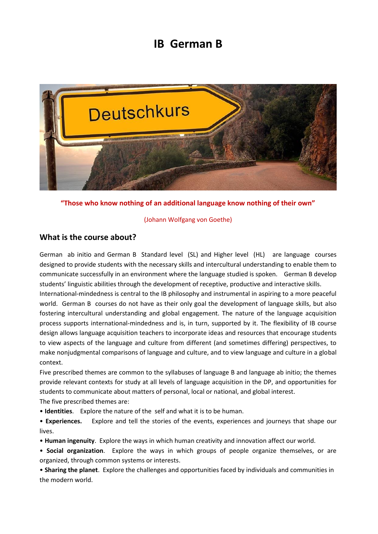# **IB German B**



**"Those who know nothing of an additional language know nothing of their own"**

(Johann Wolfgang von Goethe)

#### **What is the course about?**

German ab initio and German B Standard level (SL) and Higher level (HL)are language courses designed to provide students with the necessary skills and intercultural understanding to enable them to communicate successfully in an environment where the language studied is spoken. German B develop students' linguistic abilities through the development of receptive, productive and interactive skills.

International-mindedness is central to the IB philosophy and instrumental in aspiring to a more peaceful world. German B courses do not have as their only goal the development of language skills, but also fostering intercultural understanding and global engagement. The nature of the language acquisition process supports international-mindedness and is, in turn, supported by it. The flexibility of IB course design allows language acquisition teachers to incorporate ideas and resources that encourage students to view aspects of the language and culture from different (and sometimes differing) perspectives, to make nonjudgmental comparisons of language and culture, and to view language and culture in a global context.

Five prescribed themes are common to the syllabuses of language B and language ab initio; the themes provide relevant contexts for study at all levels of language acquisition in the DP, and opportunities for students to communicate about matters of personal, local or national, and global interest.

The five prescribed themes are:

• **Identities**. Explore the nature of the self and what it is to be human.

• **Experiences.** Explore and tell the stories of the events, experiences and journeys that shape our lives.

• **Human ingenuity**. Explore the ways in which human creativity and innovation affect our world.

• **Social organization**. Explore the ways in which groups of people organize themselves, or are organized, through common systems or interests.

• **Sharing the planet**. Explore the challenges and opportunities faced by individuals and communities in the modern world.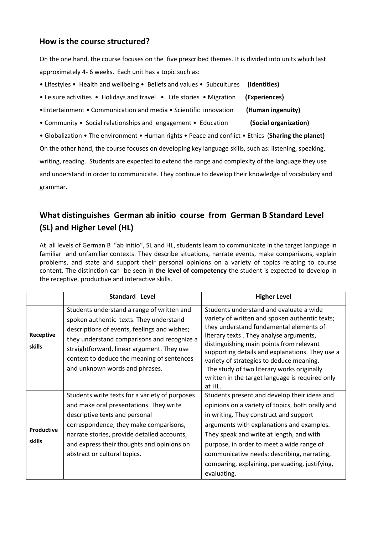# **How is the course structured?**

On the one hand, the course focuses on the five prescribed themes. It is divided into units which last approximately 4- 6 weeks. Each unit has a topic such as:

| • Lifestyles • Health and wellbeing • Beliefs and values • Subcultures (Identities)                    |                       |  |  |  |
|--------------------------------------------------------------------------------------------------------|-----------------------|--|--|--|
| • Leisure activities • Holidays and travel • Life stories • Migration                                  | (Experiences)         |  |  |  |
| • Entertainment • Communication and media • Scientific innovation                                      | (Human ingenuity)     |  |  |  |
| • Community • Social relationships and engagement • Education                                          | (Social organization) |  |  |  |
| • Globalization • The environment • Human rights • Peace and conflict • Ethics (Sharing the planet)    |                       |  |  |  |
| On the other hand, the course focuses on developing key language skills, such as: listening, speaking, |                       |  |  |  |
| writing, reading. Students are expected to extend the range and complexity of the language they use    |                       |  |  |  |
| and understand in order to communicate. They continue to develop their knowledge of vocabulary and     |                       |  |  |  |
| grammar.                                                                                               |                       |  |  |  |

# **What distinguishes German ab initio course from German B Standard Level (SL) and Higher Level (HL)**

At all levels of German B "ab initio", SL and HL, students learn to communicate in the target language in familiar and unfamiliar contexts. They describe situations, narrate events, make comparisons, explain problems, and state and support their personal opinions on a variety of topics relating to course content. The distinction can be seen in **the level of competency** the student is expected to develop in the receptive, productive and interactive skills.

|                      | Standard Level                                                                                                                                                                                                                                                                                                     | <b>Higher Level</b>                                                                                                                                                                                                                                                                                                                                                                                                                   |
|----------------------|--------------------------------------------------------------------------------------------------------------------------------------------------------------------------------------------------------------------------------------------------------------------------------------------------------------------|---------------------------------------------------------------------------------------------------------------------------------------------------------------------------------------------------------------------------------------------------------------------------------------------------------------------------------------------------------------------------------------------------------------------------------------|
| Receptive<br>skills  | Students understand a range of written and<br>spoken authentic texts. They understand<br>descriptions of events, feelings and wishes;<br>they understand comparisons and recognize a<br>straightforward, linear argument. They use<br>context to deduce the meaning of sentences<br>and unknown words and phrases. | Students understand and evaluate a wide<br>variety of written and spoken authentic texts;<br>they understand fundamental elements of<br>literary texts. They analyse arguments,<br>distinguishing main points from relevant<br>supporting details and explanations. They use a<br>variety of strategies to deduce meaning.<br>The study of two literary works originally<br>written in the target language is required only<br>at HL. |
| Productive<br>skills | Students write texts for a variety of purposes<br>and make oral presentations. They write<br>descriptive texts and personal<br>correspondence; they make comparisons,<br>narrate stories, provide detailed accounts,<br>and express their thoughts and opinions on<br>abstract or cultural topics.                 | Students present and develop their ideas and<br>opinions on a variety of topics, both orally and<br>in writing. They construct and support<br>arguments with explanations and examples.<br>They speak and write at length, and with<br>purpose, in order to meet a wide range of<br>communicative needs: describing, narrating,<br>comparing, explaining, persuading, justifying,<br>evaluating.                                      |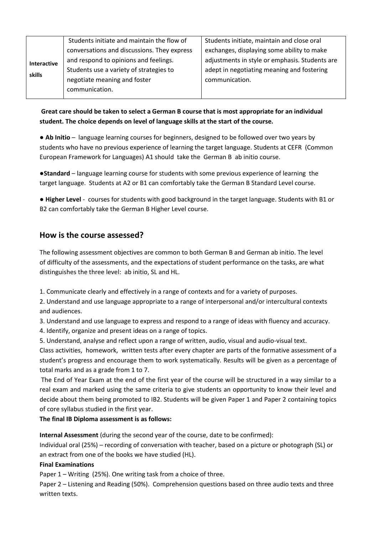| Interactive<br><b>skills</b> | Students initiate and maintain the flow of  | Students initiate, maintain and close oral     |
|------------------------------|---------------------------------------------|------------------------------------------------|
|                              | conversations and discussions. They express | exchanges, displaying some ability to make     |
|                              | and respond to opinions and feelings.       | adjustments in style or emphasis. Students are |
|                              | Students use a variety of strategies to     | adept in negotiating meaning and fostering     |
|                              | negotiate meaning and foster                | communication.                                 |
|                              | communication.                              |                                                |
|                              |                                             |                                                |

### **Great care should be taken to select a German B course that is most appropriate for an individual student. The choice depends on level of language skills at the start of the course.**

● **Ab Initio** – language learning courses for beginners, designed to be followed over two years by students who have no previous experience of learning the target language. Students at CEFR (Common European Framework for Languages) A1 should take the German B ab initio course.

●**Standard** – language learning course for students with some previous experience of learning the target language. Students at A2 or B1 can comfortably take the German B Standard Level course.

● **Higher Level** - courses for students with good background in the target language. Students with B1 or B2 can comfortably take the German B Higher Level course.

# **How is the course assessed?**

The following assessment objectives are common to both German B and German ab initio. The level of difficulty of the assessments, and the expectations of student performance on the tasks, are what distinguishes the three level: ab initio, SL and HL.

1. Communicate clearly and effectively in a range of contexts and for a variety of purposes.

2. Understand and use language appropriate to a range of interpersonal and/or intercultural contexts and audiences.

3. Understand and use language to express and respond to a range of ideas with fluency and accuracy.

4. Identify, organize and present ideas on a range of topics.

5. Understand, analyse and reflect upon a range of written, audio, visual and audio-visual text.

Class activities, homework, written tests after every chapter are parts of the formative assessment of a student's progress and encourage them to work systematically. Results will be given as a percentage of total marks and as a grade from 1 to 7.

The End of Year Exam at the end of the first year of the course will be structured in a way similar to a real exam and marked using the same criteria to give students an opportunity to know their level and decide about them being promoted to IB2. Students will be given Paper 1 and Paper 2 containing topics of core syllabus studied in the first year.

#### **The final IB Diploma assessment is as follows:**

**Internal Assessment** (during the second year of the course, date to be confirmed):

Individual oral (25%) – recording of conversation with teacher, based on a picture or photograph (SL) or an extract from one of the books we have studied (HL).

### **Final Examinations**

Paper 1 – Writing (25%). One writing task from a choice of three.

Paper 2 – Listening and Reading (50%). Comprehension questions based on three audio texts and three written texts.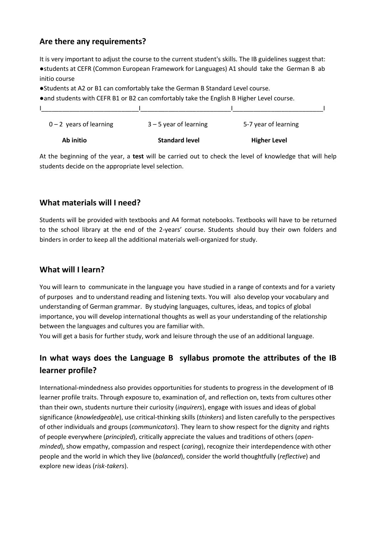# **Are there any requirements?**

It is very important to adjust the course to the current student's skills. The IB guidelines suggest that: ●students at CEFR (Common European Framework for Languages) A1 should take the German B ab initio course

●Students at A2 or B1 can comfortably take the German B Standard Level course.

●and students with CEFR B1 or B2 can comfortably take the English B Higher Level course.

| $0 - 2$ years of learning | $3 - 5$ year of learning | 5-7 year of learning |  |
|---------------------------|--------------------------|----------------------|--|
| Ab initio                 | <b>Standard level</b>    | <b>Higher Level</b>  |  |

At the beginning of the year, a **test** will be carried out to check the level of knowledge that will help students decide on the appropriate level selection.

# **What materials will I need?**

Students will be provided with textbooks and A4 format notebooks. Textbooks will have to be returned to the school library at the end of the 2-years' course. Students should buy their own folders and binders in order to keep all the additional materials well-organized for study.

# **What will I learn?**

You will learn to communicate in the language you have studied in a range of contexts and for a variety of purposes and to understand reading and listening texts. You will also develop your vocabulary and understanding of German grammar. By studying languages, cultures, ideas, and topics of global importance, you will develop international thoughts as well as your understanding of the relationship between the languages and cultures you are familiar with.

You will get a basis for further study, work and leisure through the use of an additional language.

# **In what ways does the Language B syllabus promote the attributes of the IB learner profile?**

International-mindedness also provides opportunities for students to progress in the development of IB learner profile traits. Through exposure to, examination of, and reflection on, texts from cultures other than their own, students nurture their curiosity (*inquirers*), engage with issues and ideas of global significance (*knowledgeable*), use critical-thinking skills (*thinkers*) and listen carefully to the perspectives of other individuals and groups (*communicators*). They learn to show respect for the dignity and rights of people everywhere (*principled*), critically appreciate the values and traditions of others (*openminded*), show empathy, compassion and respect (*caring*), recognize their interdependence with other people and the world in which they live (*balanced*), consider the world thoughtfully (*reflective*) and explore new ideas (*risk-takers*).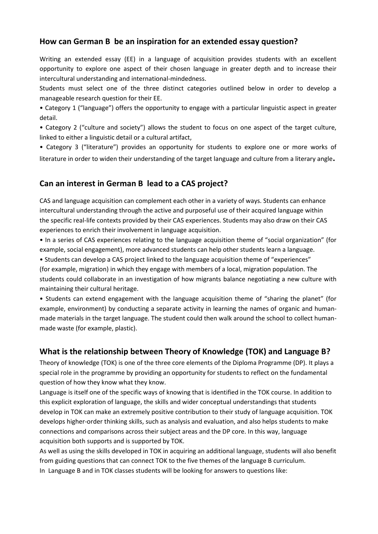# **How can German B be an inspiration for an extended essay question?**

Writing an extended essay (EE) in a language of acquisition provides students with an excellent opportunity to explore one aspect of their chosen language in greater depth and to increase their intercultural understanding and international-mindedness.

Students must select one of the three distinct categories outlined below in order to develop a manageable research question for their EE.

• Category 1 ("language") offers the opportunity to engage with a particular linguistic aspect in greater detail.

• Category 2 ("culture and society") allows the student to focus on one aspect of the target culture, linked to either a linguistic detail or a cultural artifact,

• Category 3 ("literature") provides an opportunity for students to explore one or more works of literature in order to widen their understanding of the target language and culture from a literary angle**.**

### **Can an interest in German B lead to a CAS project?**

CAS and language acquisition can complement each other in a variety of ways. Students can enhance intercultural understanding through the active and purposeful use of their acquired language within the specific real-life contexts provided by their CAS experiences. Students may also draw on their CAS experiences to enrich their involvement in language acquisition.

• In a series of CAS experiences relating to the language acquisition theme of "social organization" (for example, social engagement), more advanced students can help other students learn a language.

• Students can develop a CAS project linked to the language acquisition theme of "experiences" (for example, migration) in which they engage with members of a local, migration population. The students could collaborate in an investigation of how migrants balance negotiating a new culture with maintaining their cultural heritage.

• Students can extend engagement with the language acquisition theme of "sharing the planet" (for example, environment) by conducting a separate activity in learning the names of organic and humanmade materials in the target language. The student could then walk around the school to collect humanmade waste (for example, plastic).

### **What is the relationship between Theory of Knowledge (TOK) and Language B?**

Theory of knowledge (TOK) is one of the three core elements of the Diploma Programme (DP). It plays a special role in the programme by providing an opportunity for students to reflect on the fundamental question of how they know what they know.

Language is itself one of the specific ways of knowing that is identified in the TOK course. In addition to this explicit exploration of language, the skills and wider conceptual understandings that students develop in TOK can make an extremely positive contribution to their study of language acquisition. TOK develops higher-order thinking skills, such as analysis and evaluation, and also helps students to make connections and comparisons across their subject areas and the DP core. In this way, language acquisition both supports and is supported by TOK.

As well as using the skills developed in TOK in acquiring an additional language, students will also benefit from guiding questions that can connect TOK to the five themes of the language B curriculum.

In Language B and in TOK classes students will be looking for answers to questions like: